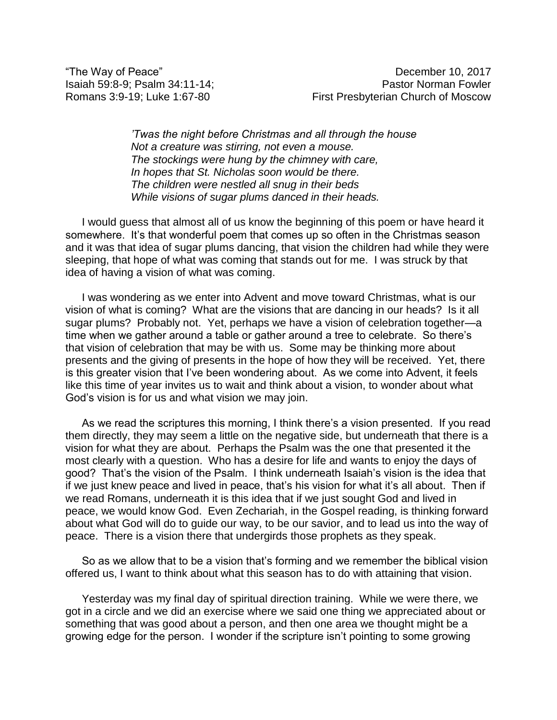*'Twas the night before Christmas and all through the house Not a creature was stirring, not even a mouse. The stockings were hung by the chimney with care, In hopes that St. Nicholas soon would be there. The children were nestled all snug in their beds While visions of sugar plums danced in their heads.*

I would guess that almost all of us know the beginning of this poem or have heard it somewhere. It's that wonderful poem that comes up so often in the Christmas season and it was that idea of sugar plums dancing, that vision the children had while they were sleeping, that hope of what was coming that stands out for me. I was struck by that idea of having a vision of what was coming.

I was wondering as we enter into Advent and move toward Christmas, what is our vision of what is coming? What are the visions that are dancing in our heads? Is it all sugar plums? Probably not. Yet, perhaps we have a vision of celebration together—a time when we gather around a table or gather around a tree to celebrate. So there's that vision of celebration that may be with us. Some may be thinking more about presents and the giving of presents in the hope of how they will be received. Yet, there is this greater vision that I've been wondering about. As we come into Advent, it feels like this time of year invites us to wait and think about a vision, to wonder about what God's vision is for us and what vision we may join.

As we read the scriptures this morning, I think there's a vision presented. If you read them directly, they may seem a little on the negative side, but underneath that there is a vision for what they are about. Perhaps the Psalm was the one that presented it the most clearly with a question. Who has a desire for life and wants to enjoy the days of good? That's the vision of the Psalm. I think underneath Isaiah's vision is the idea that if we just knew peace and lived in peace, that's his vision for what it's all about. Then if we read Romans, underneath it is this idea that if we just sought God and lived in peace, we would know God. Even Zechariah, in the Gospel reading, is thinking forward about what God will do to guide our way, to be our savior, and to lead us into the way of peace. There is a vision there that undergirds those prophets as they speak.

So as we allow that to be a vision that's forming and we remember the biblical vision offered us, I want to think about what this season has to do with attaining that vision.

Yesterday was my final day of spiritual direction training. While we were there, we got in a circle and we did an exercise where we said one thing we appreciated about or something that was good about a person, and then one area we thought might be a growing edge for the person. I wonder if the scripture isn't pointing to some growing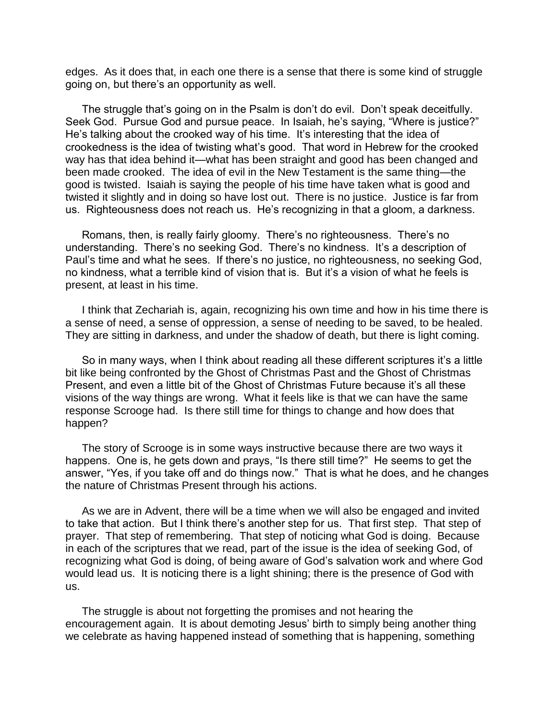edges. As it does that, in each one there is a sense that there is some kind of struggle going on, but there's an opportunity as well.

The struggle that's going on in the Psalm is don't do evil. Don't speak deceitfully. Seek God. Pursue God and pursue peace. In Isaiah, he's saying, "Where is justice?" He's talking about the crooked way of his time. It's interesting that the idea of crookedness is the idea of twisting what's good. That word in Hebrew for the crooked way has that idea behind it—what has been straight and good has been changed and been made crooked. The idea of evil in the New Testament is the same thing—the good is twisted. Isaiah is saying the people of his time have taken what is good and twisted it slightly and in doing so have lost out. There is no justice. Justice is far from us. Righteousness does not reach us. He's recognizing in that a gloom, a darkness.

Romans, then, is really fairly gloomy. There's no righteousness. There's no understanding. There's no seeking God. There's no kindness. It's a description of Paul's time and what he sees. If there's no justice, no righteousness, no seeking God, no kindness, what a terrible kind of vision that is. But it's a vision of what he feels is present, at least in his time.

I think that Zechariah is, again, recognizing his own time and how in his time there is a sense of need, a sense of oppression, a sense of needing to be saved, to be healed. They are sitting in darkness, and under the shadow of death, but there is light coming.

So in many ways, when I think about reading all these different scriptures it's a little bit like being confronted by the Ghost of Christmas Past and the Ghost of Christmas Present, and even a little bit of the Ghost of Christmas Future because it's all these visions of the way things are wrong. What it feels like is that we can have the same response Scrooge had. Is there still time for things to change and how does that happen?

The story of Scrooge is in some ways instructive because there are two ways it happens. One is, he gets down and prays, "Is there still time?" He seems to get the answer, "Yes, if you take off and do things now." That is what he does, and he changes the nature of Christmas Present through his actions.

As we are in Advent, there will be a time when we will also be engaged and invited to take that action. But I think there's another step for us. That first step. That step of prayer. That step of remembering. That step of noticing what God is doing. Because in each of the scriptures that we read, part of the issue is the idea of seeking God, of recognizing what God is doing, of being aware of God's salvation work and where God would lead us. It is noticing there is a light shining; there is the presence of God with us.

The struggle is about not forgetting the promises and not hearing the encouragement again. It is about demoting Jesus' birth to simply being another thing we celebrate as having happened instead of something that is happening, something